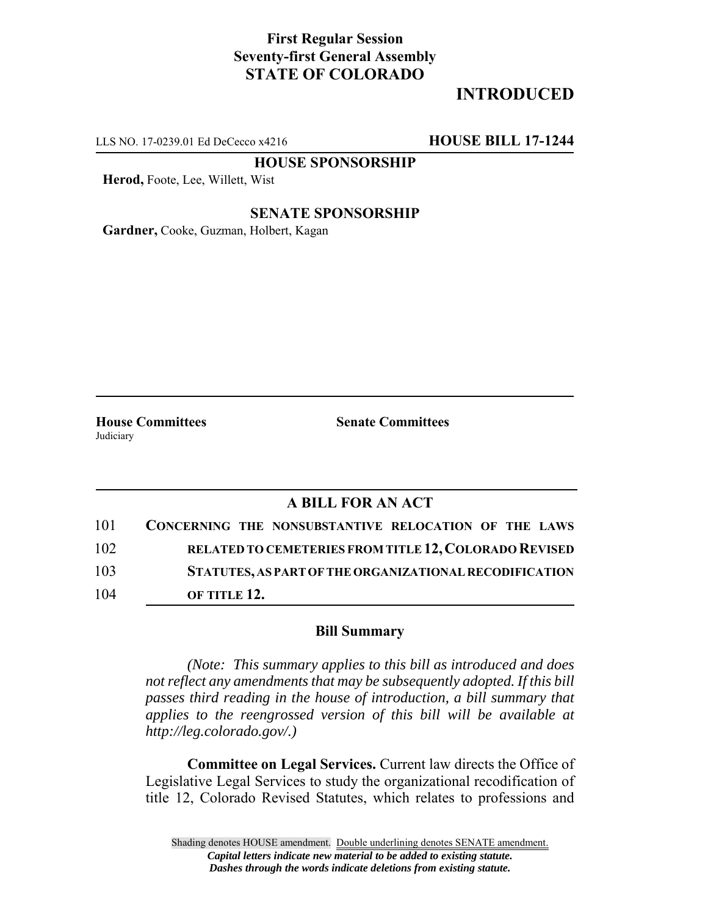### **First Regular Session Seventy-first General Assembly STATE OF COLORADO**

# **INTRODUCED**

LLS NO. 17-0239.01 Ed DeCecco x4216 **HOUSE BILL 17-1244**

**HOUSE SPONSORSHIP**

**Herod,** Foote, Lee, Willett, Wist

### **SENATE SPONSORSHIP**

**Gardner,** Cooke, Guzman, Holbert, Kagan

Judiciary

**House Committees Senate Committees** 

### **A BILL FOR AN ACT**

| 101 | CONCERNING THE NONSUBSTANTIVE RELOCATION OF THE LAWS   |
|-----|--------------------------------------------------------|
| 102 | RELATED TO CEMETERIES FROM TITLE 12, COLORADO REVISED  |
| 103 | STATUTES, AS PART OF THE ORGANIZATIONAL RECODIFICATION |
| 104 | OF TITLE 12.                                           |

#### **Bill Summary**

*(Note: This summary applies to this bill as introduced and does not reflect any amendments that may be subsequently adopted. If this bill passes third reading in the house of introduction, a bill summary that applies to the reengrossed version of this bill will be available at http://leg.colorado.gov/.)*

**Committee on Legal Services.** Current law directs the Office of Legislative Legal Services to study the organizational recodification of title 12, Colorado Revised Statutes, which relates to professions and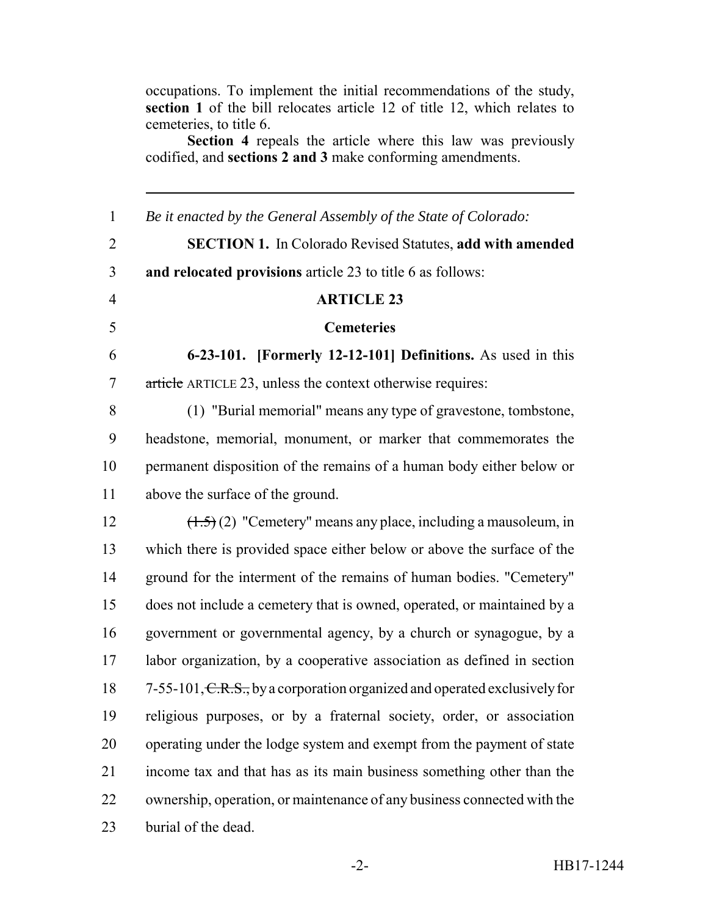occupations. To implement the initial recommendations of the study, **section 1** of the bill relocates article 12 of title 12, which relates to cemeteries, to title 6.

**Section 4** repeals the article where this law was previously codified, and **sections 2 and 3** make conforming amendments.

 *Be it enacted by the General Assembly of the State of Colorado:* **SECTION 1.** In Colorado Revised Statutes, **add with amended and relocated provisions** article 23 to title 6 as follows: **ARTICLE 23 Cemeteries 6-23-101. [Formerly 12-12-101] Definitions.** As used in this article ARTICLE 23, unless the context otherwise requires: (1) "Burial memorial" means any type of gravestone, tombstone, headstone, memorial, monument, or marker that commemorates the permanent disposition of the remains of a human body either below or above the surface of the ground.  $(1.5)(2)$  "Cemetery" means any place, including a mausoleum, in which there is provided space either below or above the surface of the ground for the interment of the remains of human bodies. "Cemetery" does not include a cemetery that is owned, operated, or maintained by a government or governmental agency, by a church or synagogue, by a labor organization, by a cooperative association as defined in section 18 7-55-101, C.R.S., by a corporation organized and operated exclusively for religious purposes, or by a fraternal society, order, or association operating under the lodge system and exempt from the payment of state income tax and that has as its main business something other than the ownership, operation, or maintenance of any business connected with the burial of the dead.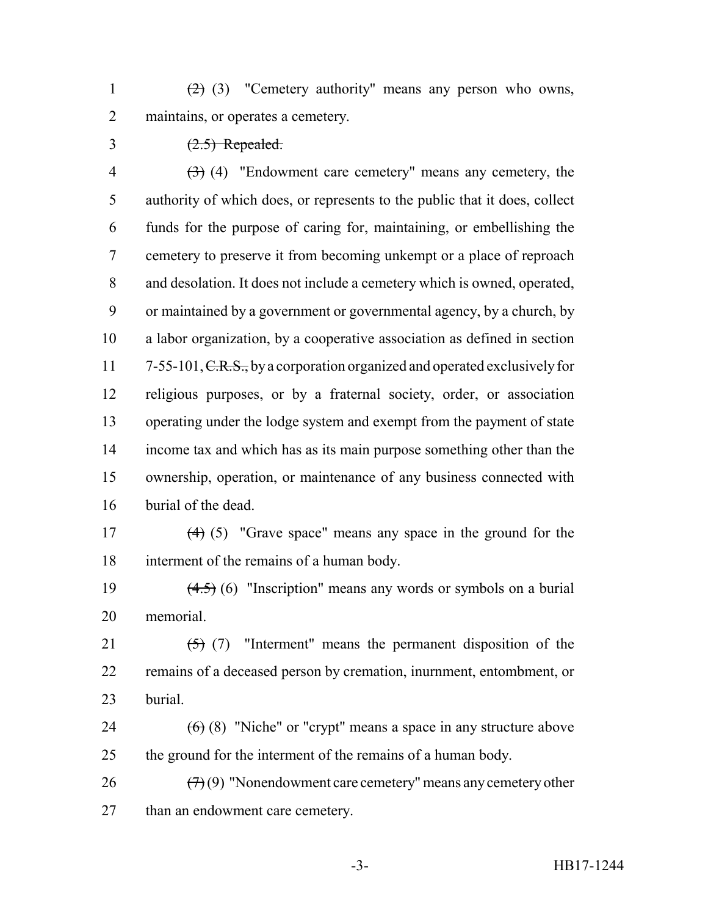1  $(2)$  (3) "Cemetery authority" means any person who owns, 2 maintains, or operates a cemetery.

## $\frac{(2.5) Repeated}{2.5}$

 $(3)$  (4) "Endowment care cemetery" means any cemetery, the authority of which does, or represents to the public that it does, collect funds for the purpose of caring for, maintaining, or embellishing the cemetery to preserve it from becoming unkempt or a place of reproach and desolation. It does not include a cemetery which is owned, operated, or maintained by a government or governmental agency, by a church, by a labor organization, by a cooperative association as defined in section 11 7-55-101, C.R.S., by a corporation organized and operated exclusively for religious purposes, or by a fraternal society, order, or association operating under the lodge system and exempt from the payment of state income tax and which has as its main purpose something other than the ownership, operation, or maintenance of any business connected with burial of the dead.

 (4) (5) "Grave space" means any space in the ground for the interment of the remains of a human body.

19  $(4.5)$  (6) "Inscription" means any words or symbols on a burial memorial.

21  $(5)$  (7) "Interment" means the permanent disposition of the remains of a deceased person by cremation, inurnment, entombment, or burial.

24  $(6)$  (8) "Niche" or "crypt" means a space in any structure above the ground for the interment of the remains of a human body.

26  $(7)(9)$  "Nonendowment care cemetery" means any cemetery other 27 than an endowment care cemetery.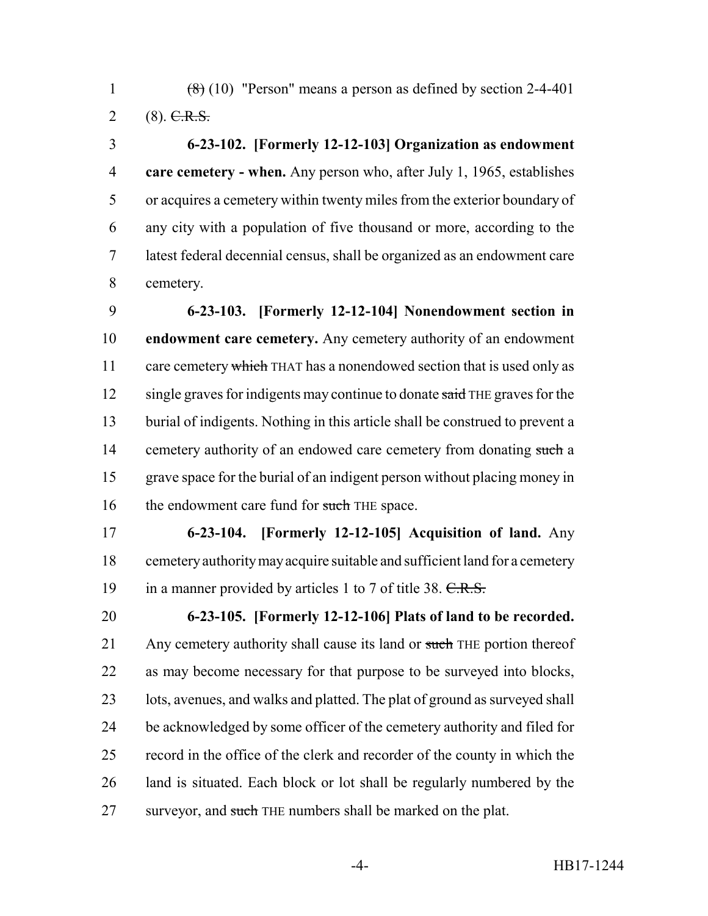1  $(8)(10)$  "Person" means a person as defined by section 2-4-401 2 (8).  $C.R.S.$ 

 **6-23-102. [Formerly 12-12-103] Organization as endowment care cemetery - when.** Any person who, after July 1, 1965, establishes or acquires a cemetery within twenty miles from the exterior boundary of any city with a population of five thousand or more, according to the latest federal decennial census, shall be organized as an endowment care cemetery.

 **6-23-103. [Formerly 12-12-104] Nonendowment section in endowment care cemetery.** Any cemetery authority of an endowment 11 care cemetery which THAT has a nonendowed section that is used only as 12 single graves for indigents may continue to donate said THE graves for the burial of indigents. Nothing in this article shall be construed to prevent a 14 cemetery authority of an endowed care cemetery from donating such a grave space for the burial of an indigent person without placing money in 16 the endowment care fund for such THE space.

 **6-23-104. [Formerly 12-12-105] Acquisition of land.** Any cemetery authority may acquire suitable and sufficient land for a cemetery 19 in a manner provided by articles 1 to 7 of title 38. C.R.S.

 **6-23-105. [Formerly 12-12-106] Plats of land to be recorded.** 21 Any cemetery authority shall cause its land or such THE portion thereof as may become necessary for that purpose to be surveyed into blocks, 23 lots, avenues, and walks and platted. The plat of ground as surveyed shall be acknowledged by some officer of the cemetery authority and filed for record in the office of the clerk and recorder of the county in which the land is situated. Each block or lot shall be regularly numbered by the 27 surveyor, and such THE numbers shall be marked on the plat.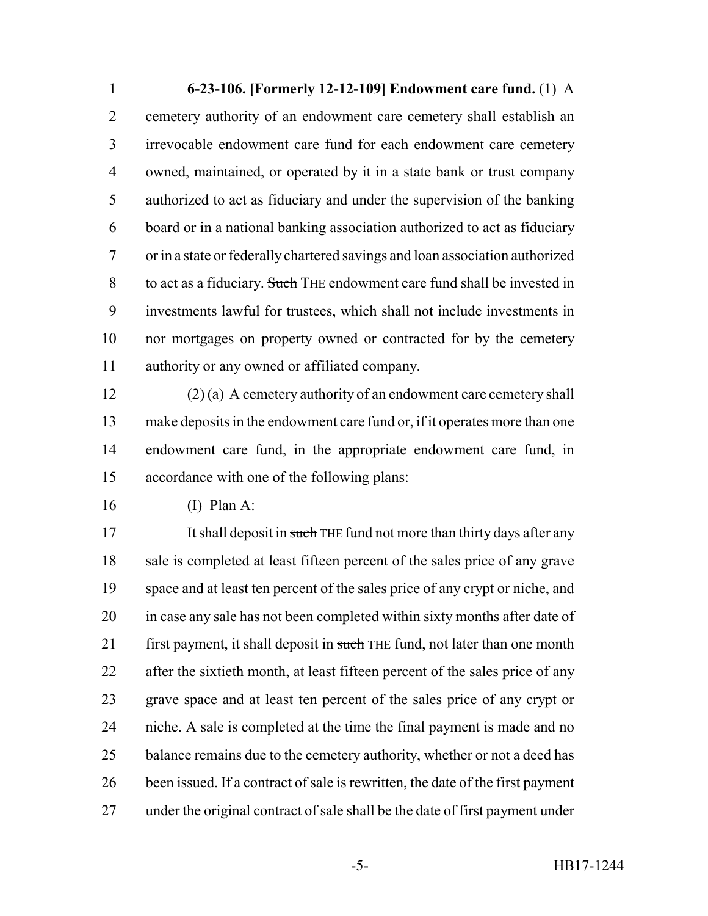**6-23-106. [Formerly 12-12-109] Endowment care fund.** (1) A cemetery authority of an endowment care cemetery shall establish an irrevocable endowment care fund for each endowment care cemetery owned, maintained, or operated by it in a state bank or trust company authorized to act as fiduciary and under the supervision of the banking board or in a national banking association authorized to act as fiduciary or in a state or federally chartered savings and loan association authorized to act as a fiduciary. Such THE endowment care fund shall be invested in investments lawful for trustees, which shall not include investments in nor mortgages on property owned or contracted for by the cemetery authority or any owned or affiliated company.

 (2) (a) A cemetery authority of an endowment care cemetery shall make deposits in the endowment care fund or, if it operates more than one endowment care fund, in the appropriate endowment care fund, in accordance with one of the following plans:

(I) Plan A:

17 It shall deposit in such THE fund not more than thirty days after any sale is completed at least fifteen percent of the sales price of any grave space and at least ten percent of the sales price of any crypt or niche, and 20 in case any sale has not been completed within sixty months after date of 21 first payment, it shall deposit in such THE fund, not later than one month after the sixtieth month, at least fifteen percent of the sales price of any grave space and at least ten percent of the sales price of any crypt or niche. A sale is completed at the time the final payment is made and no 25 balance remains due to the cemetery authority, whether or not a deed has been issued. If a contract of sale is rewritten, the date of the first payment under the original contract of sale shall be the date of first payment under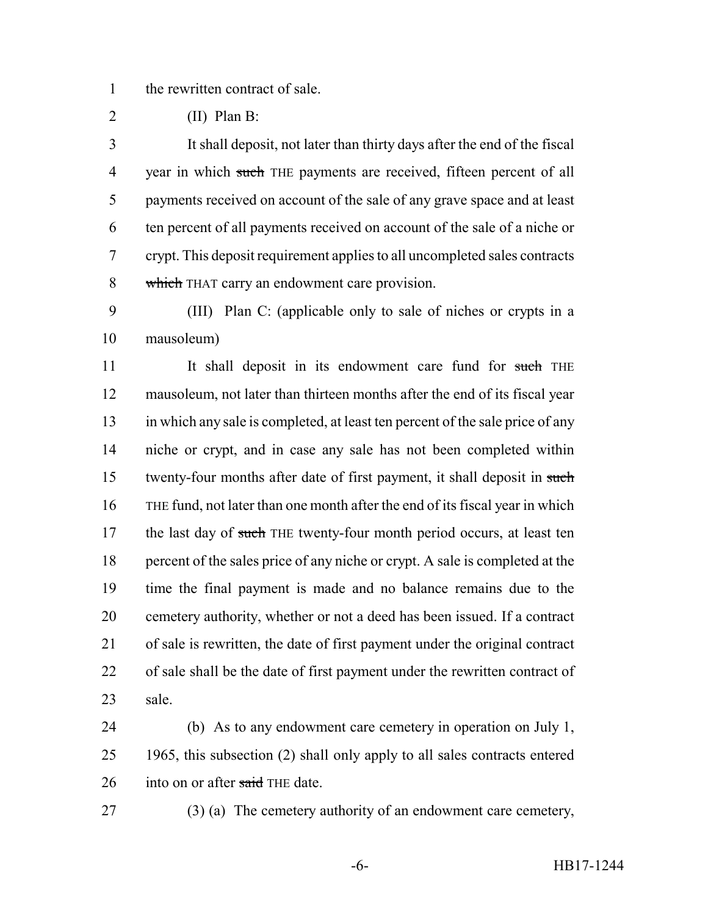the rewritten contract of sale.

(II) Plan B:

 It shall deposit, not later than thirty days after the end of the fiscal 4 year in which such THE payments are received, fifteen percent of all payments received on account of the sale of any grave space and at least ten percent of all payments received on account of the sale of a niche or crypt. This deposit requirement applies to all uncompleted sales contracts 8 which THAT carry an endowment care provision.

 (III) Plan C: (applicable only to sale of niches or crypts in a mausoleum)

11 It shall deposit in its endowment care fund for such THE mausoleum, not later than thirteen months after the end of its fiscal year in which any sale is completed, at least ten percent of the sale price of any niche or crypt, and in case any sale has not been completed within 15 twenty-four months after date of first payment, it shall deposit in such THE fund, not later than one month after the end of its fiscal year in which 17 the last day of such THE twenty-four month period occurs, at least ten percent of the sales price of any niche or crypt. A sale is completed at the time the final payment is made and no balance remains due to the cemetery authority, whether or not a deed has been issued. If a contract of sale is rewritten, the date of first payment under the original contract of sale shall be the date of first payment under the rewritten contract of sale.

 (b) As to any endowment care cemetery in operation on July 1, 1965, this subsection (2) shall only apply to all sales contracts entered 26 into on or after said THE date.

(3) (a) The cemetery authority of an endowment care cemetery,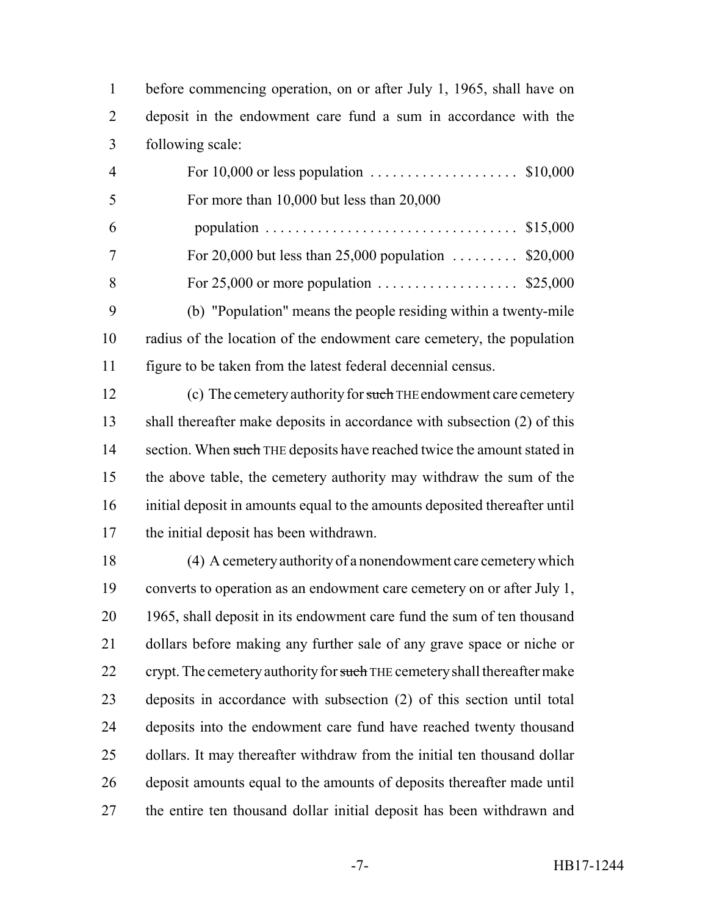before commencing operation, on or after July 1, 1965, shall have on deposit in the endowment care fund a sum in accordance with the following scale:

 For 10,000 or less population .................... \$10,000 For more than 10,000 but less than 20,000 6 population .................................. \$15,000 For 20,000 but less than 25,000 population ......... \$20,000 For 25,000 or more population ................... \$25,000 (b) "Population" means the people residing within a twenty-mile radius of the location of the endowment care cemetery, the population figure to be taken from the latest federal decennial census.

12 (c) The cemetery authority for such THE endowment care cemetery 13 shall thereafter make deposits in accordance with subsection (2) of this 14 section. When such THE deposits have reached twice the amount stated in the above table, the cemetery authority may withdraw the sum of the initial deposit in amounts equal to the amounts deposited thereafter until the initial deposit has been withdrawn.

 (4) A cemetery authority of a nonendowment care cemetery which converts to operation as an endowment care cemetery on or after July 1, 1965, shall deposit in its endowment care fund the sum of ten thousand dollars before making any further sale of any grave space or niche or 22 crypt. The cemetery authority for such THE cemetery shall thereafter make deposits in accordance with subsection (2) of this section until total deposits into the endowment care fund have reached twenty thousand dollars. It may thereafter withdraw from the initial ten thousand dollar deposit amounts equal to the amounts of deposits thereafter made until the entire ten thousand dollar initial deposit has been withdrawn and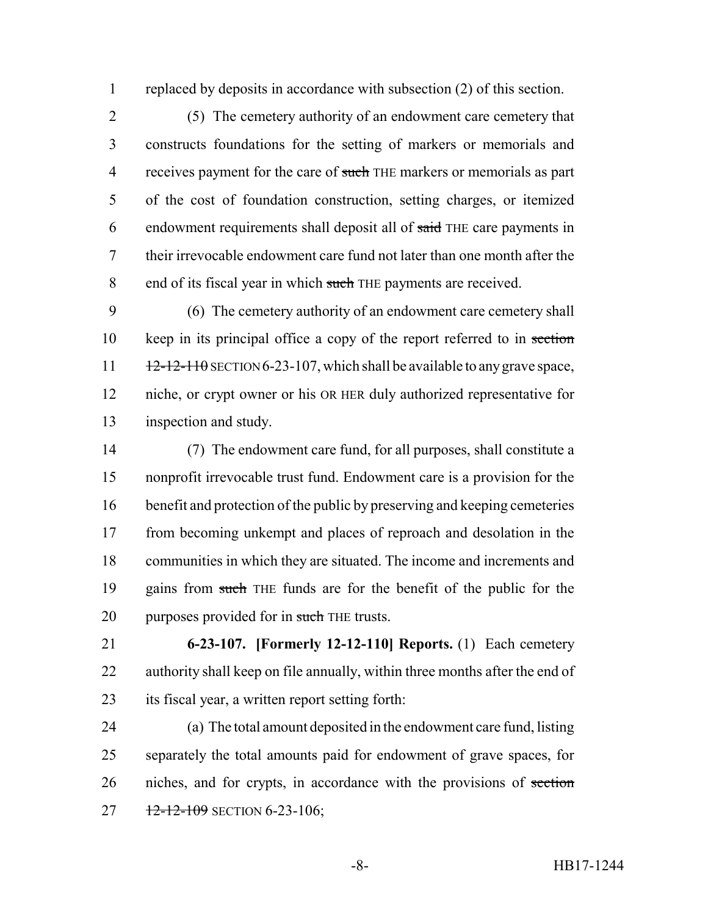replaced by deposits in accordance with subsection (2) of this section.

 (5) The cemetery authority of an endowment care cemetery that constructs foundations for the setting of markers or memorials and 4 receives payment for the care of such THE markers or memorials as part of the cost of foundation construction, setting charges, or itemized 6 endowment requirements shall deposit all of said THE care payments in their irrevocable endowment care fund not later than one month after the 8 end of its fiscal year in which such THE payments are received.

 (6) The cemetery authority of an endowment care cemetery shall 10 keep in its principal office a copy of the report referred to in section  $12-12-110$  SECTION 6-23-107, which shall be available to any grave space, niche, or crypt owner or his OR HER duly authorized representative for inspection and study.

 (7) The endowment care fund, for all purposes, shall constitute a nonprofit irrevocable trust fund. Endowment care is a provision for the benefit and protection of the public by preserving and keeping cemeteries from becoming unkempt and places of reproach and desolation in the communities in which they are situated. The income and increments and gains from such THE funds are for the benefit of the public for the 20 purposes provided for in such THE trusts.

 **6-23-107. [Formerly 12-12-110] Reports.** (1) Each cemetery authority shall keep on file annually, within three months after the end of its fiscal year, a written report setting forth:

 (a) The total amount deposited in the endowment care fund, listing separately the total amounts paid for endowment of grave spaces, for niches, and for crypts, in accordance with the provisions of section  $12-12-109$  SECTION 6-23-106;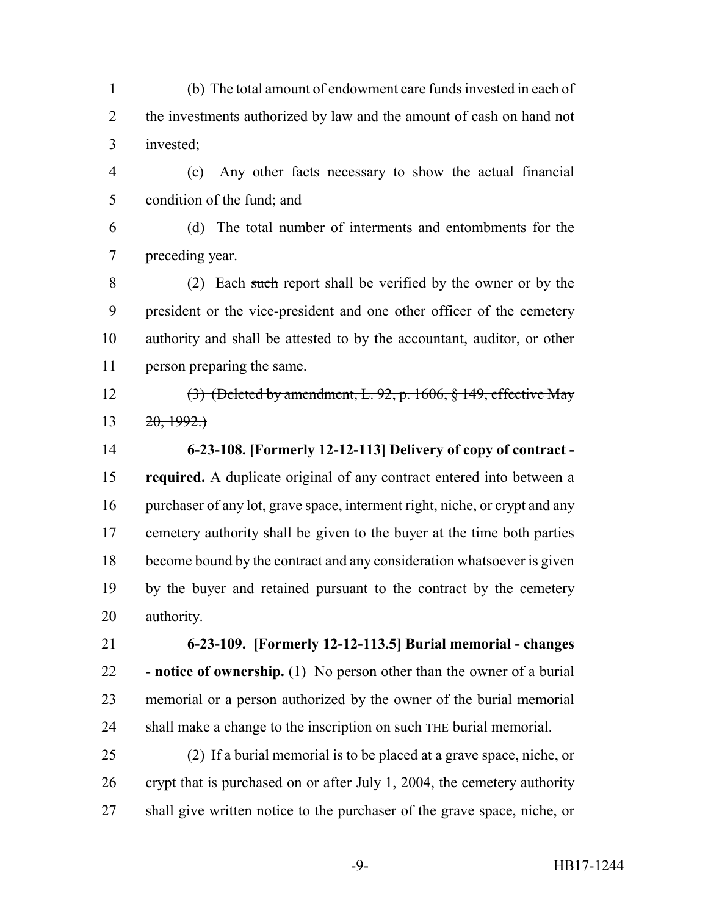(b) The total amount of endowment care funds invested in each of 2 the investments authorized by law and the amount of cash on hand not invested;

 (c) Any other facts necessary to show the actual financial condition of the fund; and

 (d) The total number of interments and entombments for the preceding year.

 (2) Each such report shall be verified by the owner or by the president or the vice-president and one other officer of the cemetery authority and shall be attested to by the accountant, auditor, or other person preparing the same.

 (3) (Deleted by amendment, L. 92, p. 1606, § 149, effective May 13  $20, 1992.$ 

 **6-23-108. [Formerly 12-12-113] Delivery of copy of contract - required.** A duplicate original of any contract entered into between a purchaser of any lot, grave space, interment right, niche, or crypt and any cemetery authority shall be given to the buyer at the time both parties become bound by the contract and any consideration whatsoever is given by the buyer and retained pursuant to the contract by the cemetery authority.

 **6-23-109. [Formerly 12-12-113.5] Burial memorial - changes - notice of ownership.** (1) No person other than the owner of a burial memorial or a person authorized by the owner of the burial memorial 24 shall make a change to the inscription on such THE burial memorial.

 (2) If a burial memorial is to be placed at a grave space, niche, or crypt that is purchased on or after July 1, 2004, the cemetery authority shall give written notice to the purchaser of the grave space, niche, or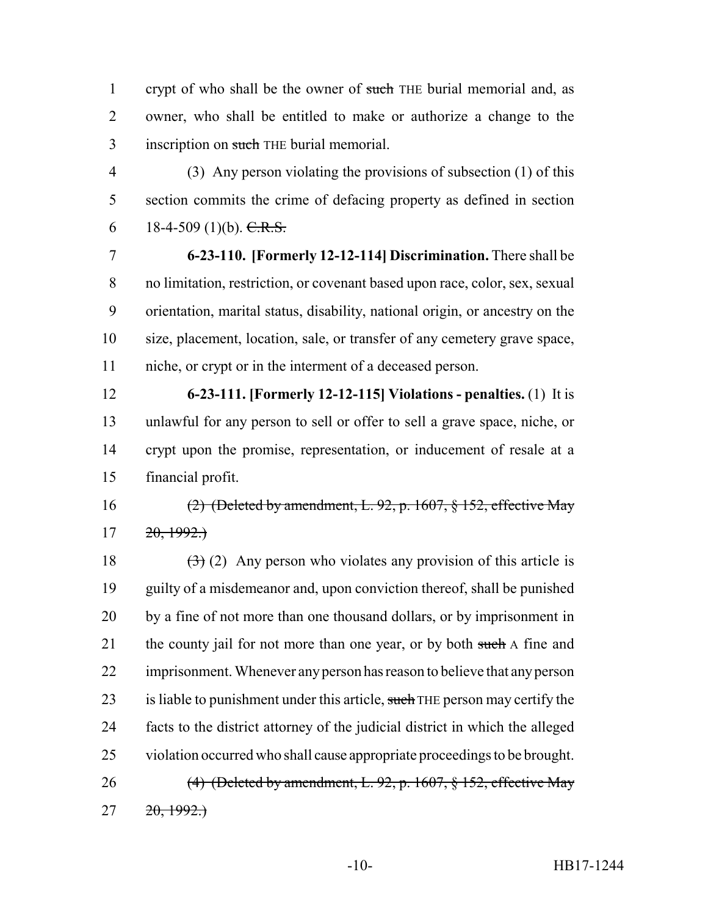1 crypt of who shall be the owner of such THE burial memorial and, as owner, who shall be entitled to make or authorize a change to the 3 inscription on such THE burial memorial.

 (3) Any person violating the provisions of subsection (1) of this section commits the crime of defacing property as defined in section 6 18-4-509 (1)(b). C.R.S.

 **6-23-110. [Formerly 12-12-114] Discrimination.** There shall be no limitation, restriction, or covenant based upon race, color, sex, sexual orientation, marital status, disability, national origin, or ancestry on the size, placement, location, sale, or transfer of any cemetery grave space, niche, or crypt or in the interment of a deceased person.

 **6-23-111. [Formerly 12-12-115] Violations - penalties.** (1) It is unlawful for any person to sell or offer to sell a grave space, niche, or crypt upon the promise, representation, or inducement of resale at a financial profit.

 (2) (Deleted by amendment, L. 92, p. 1607, § 152, effective May  $17 \quad 20,1992.$ 

18  $(3)(2)$  Any person who violates any provision of this article is guilty of a misdemeanor and, upon conviction thereof, shall be punished by a fine of not more than one thousand dollars, or by imprisonment in 21 the county jail for not more than one year, or by both such A fine and imprisonment. Whenever any person has reason to believe that any person 23 is liable to punishment under this article, such THE person may certify the facts to the district attorney of the judicial district in which the alleged violation occurred who shall cause appropriate proceedings to be brought. 26 (4) (Deleted by amendment, L. 92, p. 1607, § 152, effective May  $27 \frac{20,1992.}{ }$ 

-10- HB17-1244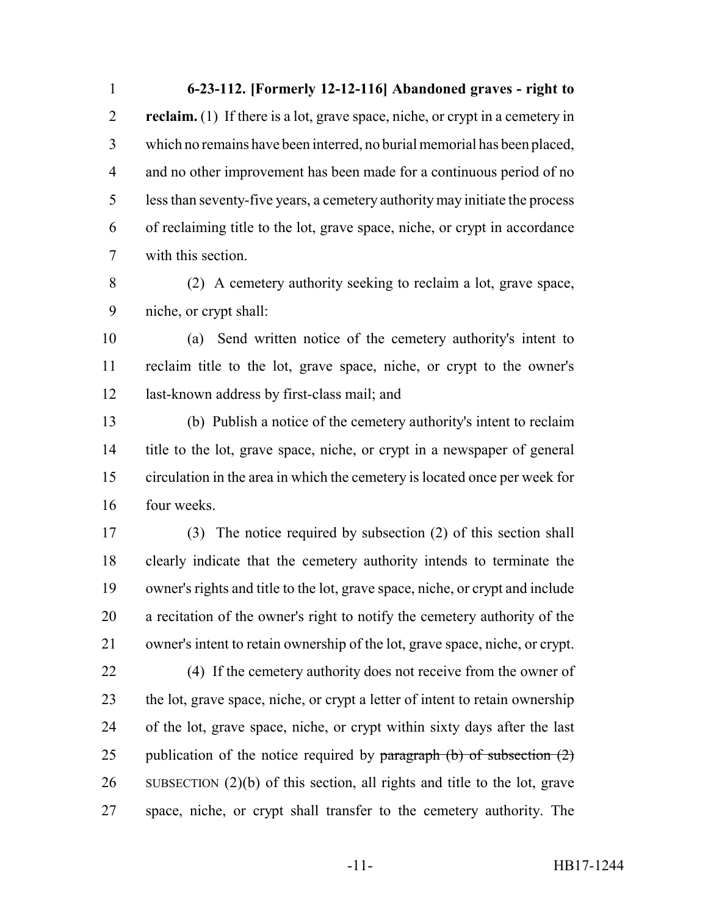**6-23-112. [Formerly 12-12-116] Abandoned graves - right to reclaim.** (1) If there is a lot, grave space, niche, or crypt in a cemetery in which no remains have been interred, no burial memorial has been placed, and no other improvement has been made for a continuous period of no less than seventy-five years, a cemetery authority may initiate the process of reclaiming title to the lot, grave space, niche, or crypt in accordance with this section.

 (2) A cemetery authority seeking to reclaim a lot, grave space, niche, or crypt shall:

 (a) Send written notice of the cemetery authority's intent to reclaim title to the lot, grave space, niche, or crypt to the owner's last-known address by first-class mail; and

 (b) Publish a notice of the cemetery authority's intent to reclaim title to the lot, grave space, niche, or crypt in a newspaper of general circulation in the area in which the cemetery is located once per week for four weeks.

 (3) The notice required by subsection (2) of this section shall clearly indicate that the cemetery authority intends to terminate the owner's rights and title to the lot, grave space, niche, or crypt and include a recitation of the owner's right to notify the cemetery authority of the owner's intent to retain ownership of the lot, grave space, niche, or crypt.

 (4) If the cemetery authority does not receive from the owner of the lot, grave space, niche, or crypt a letter of intent to retain ownership of the lot, grave space, niche, or crypt within sixty days after the last 25 publication of the notice required by paragraph  $(b)$  of subsection  $(2)$  SUBSECTION (2)(b) of this section, all rights and title to the lot, grave space, niche, or crypt shall transfer to the cemetery authority. The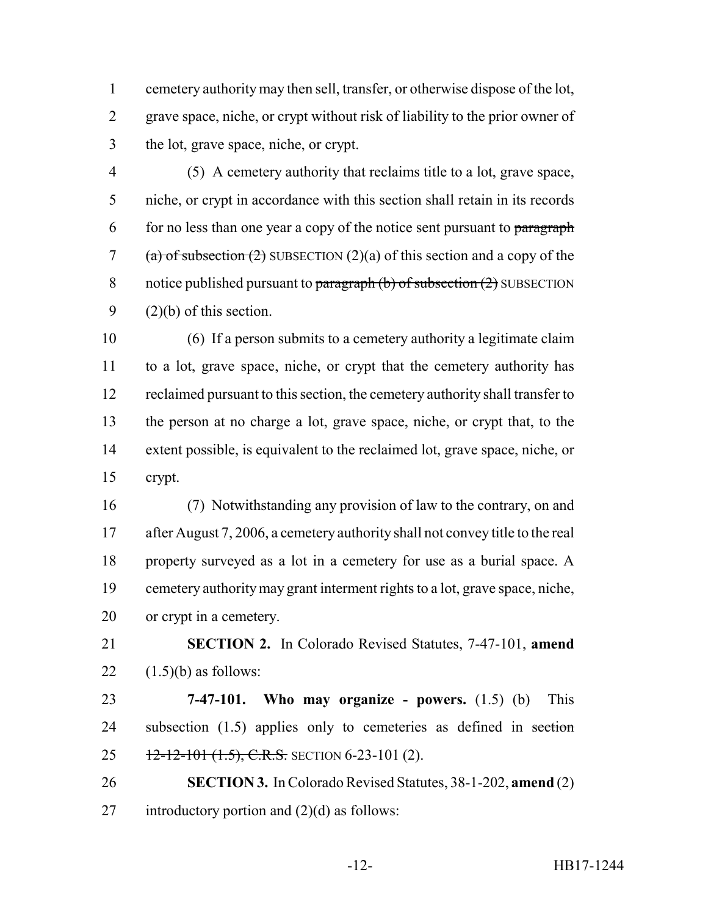cemetery authority may then sell, transfer, or otherwise dispose of the lot, grave space, niche, or crypt without risk of liability to the prior owner of the lot, grave space, niche, or crypt.

 (5) A cemetery authority that reclaims title to a lot, grave space, niche, or crypt in accordance with this section shall retain in its records for no less than one year a copy of the notice sent pursuant to paragraph 7 (a) of subsection (2) SUBSECTION (2)(a) of this section and a copy of the 8 notice published pursuant to  $\frac{\text{parameter of}}{\text{parameter of}}$  subsection  $(2)$  SUBSECTION  $(2)(b)$  of this section.

 (6) If a person submits to a cemetery authority a legitimate claim to a lot, grave space, niche, or crypt that the cemetery authority has reclaimed pursuant to this section, the cemetery authority shall transfer to the person at no charge a lot, grave space, niche, or crypt that, to the extent possible, is equivalent to the reclaimed lot, grave space, niche, or crypt.

 (7) Notwithstanding any provision of law to the contrary, on and 17 after August 7, 2006, a cemetery authority shall not convey title to the real property surveyed as a lot in a cemetery for use as a burial space. A cemetery authority may grant interment rights to a lot, grave space, niche, or crypt in a cemetery.

 **SECTION 2.** In Colorado Revised Statutes, 7-47-101, **amend** 22  $(1.5)(b)$  as follows:

 **7-47-101. Who may organize - powers.** (1.5) (b) This 24 subsection (1.5) applies only to cemeteries as defined in section 25  $12-12-101$  (1.5), C.R.S. SECTION 6-23-101 (2).

 **SECTION 3.** In Colorado Revised Statutes, 38-1-202, **amend** (2) 27 introductory portion and  $(2)(d)$  as follows: